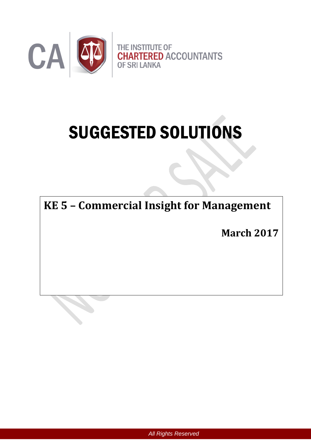

# SUGGESTED SOLUTIONS

**KE 5 – Commercial Insight for Management**

**March 2017**

*All Rights Reserved*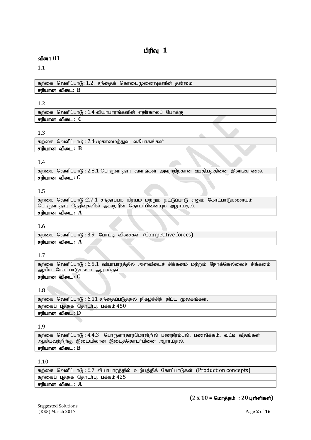# **பிரிவு 1**

# வினா 01

# 1.1

கற்கை வெளிப்பாடு:  $1.2$ . சந்தைக் கொடைமுனைவுகளின் தன்மை சரியான விடை: **B** 

#### 1.2

கற்கை வெளிப்பாடு $: 1.4$  வியாபாரங்களின் எதிர்காலப் போக்கு சரியான விடை : C

# 1.3

 $\sigma$ ந்தை வெளிப்பா $\sigma$ : 2.4 முகாமைத்துவ வகிபாகங்கள் சரியான விடை :  $B$ 

#### 1.4

கற்கை வெளிப்பாடு:  $2.8.1$  பொருளாதார வளங்கள் அவற்றிற்கான ஊதியத்தினை இனங்காணல். rupahd tpil **: C**

#### 1.5

 $\pi$ ற்கை வெளிப்பாடு:2.7.1 சந்தா்ப்பக் கிரயம் மற்றும் தட்டுப்பாடு எனும் கோட்பாடுகளையும் பொருளாதார தெரிவுகளில் அவற்றின் தொடர்பினையும் ஆராய்தல்.

# சரியான விடை : **A**

#### 1.6

கற்கை வெளிப்பாடு: 3.9 போட்டி விசைகள் (Competitive forces)  $\sigma$ ரியான விடை :  $A$ 

#### 1.7

கற்கை வெளிப்பாடு:  $6.5.1$  வியாபாரத்தில் அளவிடைச் சிக்கனம் மற்றும் நோக்கெல்லைச் சிக்கனம் ஆகிய கோட்பாடுகளை ஆராய்தல்.

# **சரியான விடை : C**

# 1.8

| கற்கை வெளிப்பாடு: 6.11 சந்தைப்படுத்தல் நிகழ்ச்சித் திட்ட மூலகங்கள். |
|---------------------------------------------------------------------|
| கற்கைப் புத்தக தொடர்பு: பக்கம் $450$                                |
| சரியான விடை : D                                                     |

# 1.9

கற்கை வெளிப்பாடு:  $4.4.3$  பொருளாதாரமொன்றில் பணநிரம்பல், பணவீக்கம், வட்டி வீதங்கள் ஆகியவற்றிற்கு இடையிலான இடைத்தொடர்பினை ஆராய்தல்.

# சரியான விடை :  $B$

# 1.10

கற்கை வெளிப்பாடு: 6.7 வியாபாரத்தில் உற்பத்திக் கோட்பாடுகள் (Production concepts) கற்கைப் புத்தக தொடர்பு: பக்கம் 425  $\epsilon$ ரியான விடை :  $A$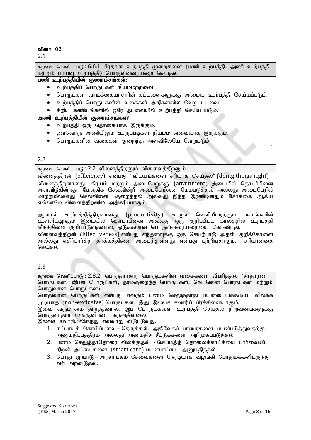| கற்கை வெளிப்பாடு: 6.6.1 பிரதான உற்பத்தி முறைகளை (பணி உற்பத்தி, அணி உற்பத்தி<br>மற்றும் பாய்வு உற்பத்தி) பொருள்வரையறை செய்தல் |
|------------------------------------------------------------------------------------------------------------------------------|
| பணி உற்பத்தியின் குணாம்சங்கள்:                                                                                               |
| உற்பத்திப் பொருட்கள் நியமமற்றவை                                                                                              |
| பொருட்கள் வாடிக்கையாளரின் கட்டளைகளுக்கு அமைய உற்பத்தி செய்யப்படும்.<br>$\bullet$                                             |
| உற்பத்திப் பொருட்களின் வகைகள் அதிகளவில் வேறுபட்டவை.<br>$\bullet$                                                             |
| சிறிய கணியங்களில் ஒரே தடவையில் உற்பத்தி செய்யப்படும்.                                                                        |
| அணி உற்பத்தியின் குணாம்சங்கள்:                                                                                               |
| உற்பத்தி ஒரு தொகையாக இருக்கும்.                                                                                              |
| ஒவ்வொரு அணியிலும் உருப்படிகள் நியமமானவையாக இருக்கும்.                                                                        |
| பொருட்களின் வகைகள் குறைந்த அளவிலேயே வேறுபடும்.                                                                               |
|                                                                                                                              |

# 2.2

கற்கை வெளிப்பாடு $: 2.2$  வினைத்திறனும் விளைவுத்திறனும்

வினைத்திறன் (efficiency) என்பது "விடயங்களை சரியாக செய்தல்" (doing things right) வினைத்திறனானது, கிரயம் மற்றும் அடைபேறுக்கு (attainment) இடையில் தொடர்பினை அளவிடுகின்றது. மேலதிக செலவின்றி அடைபேறினை மேம்படுத்தல் அல்லது அடைபேறில் குள்ளத்து, பார்ந்த கார்ப்பட்டத்தல் அல்லது இந்த இரண்டினதும் சேர்க்கை ஆகிய எல்லாமே வினைத்திறனில் அதிகரிப்பாகும்.

ஆனால் உற்பத்தித்திறனானது (productivity), உருவ வெளியீட்டிற்கும் வளங்களின் உள்ளீட்டிற்கும் இடையில் தொடர்பினை அல்லது ஒரு குறிப்பிட்ட காலத்தில் உற்பத்தி வீதத்தினை குறிப்பிடுவதனால், ஒடுக்கமான பொருள்வரையறையை கொண்டது. விளைவுத்திறன் (Effectiveness) என்பது எந்தளவுக்கு ஒரு செயற்பாடு அதன் குறிக்கோளை அல்லது எதிா்பாா்த்த தாக்கத்தினை அடைந்துள்ளது என்பது பற்றியதாகும். சரியானதை செய்தல்

#### 2.3

கற்கை வெளிப்பாடு $: 2.8.2$  பொருளாகாா பொருட்களின் வகைகளை விபரிக்கல் (சாகாரண பொருட்கள், ஜிபன் பொருட்கள், தரம்குறைந்த பொருட்கள், வெப்லென் பொருட்கள் மற்றும் பொதுவான பொருட்கள்).

பொதுவான பொருட்கள் என்பது எவரும் பணம் செலுத்தாது பயனடையக்கூடிய, விலக்க முடியாத (non-exclusive) பொருட்கள். இது இலவச சவாரிப் பிரச்சினையாகும்.

இவை வருமானம் தராததனால், இப் பொருட்களை உற்பத்தி செய்தல் நிறுவனங்களுக்கு பொருளாதார ஊக்குவிப்பை தருவதில்லை.

இலவச சவாரியிலிருந்து எவ்வாறு விடுபடுவது:

- 1. கட்டாயக் கொடுப்பனவு தெருக்கள், அதிவேகப் பாதைகளை பயன்படுத்துவதற்கு அனுமதிப்பத்திரம் அல்லது அனுமதிச் சீட்டுக்களை அறிமுகப்படுத்தல்.
- 2. பணம் செலுக்காகோரை விலக்குகல் செய்மகிக் கொலைக்காட்சியை பார்வையிட திறன் அட்டைகளை (smart card) பயன்பாட்டை அனுமதித்தல்.
- 3. பொது ஏற்பாடு அரசாங்கம் சேவைகளை நேரடியாக வழங்கி பொதுமக்களிடருந்து வரி அறவிடுதல்.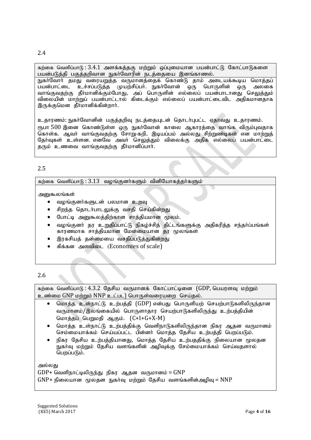2.4

கற்கை வெளிப்பாடு:  $3.4.1$  அளக்கத்தகு மற்றும் ஒப்புமையான பயன்பாட்டு கோட்பாடுகளை பயன்படுத்தி பகுத்தறிவான நுகா்வோரின் நடத்தையை இனங்காணல்.

நுகர்வோர் தமது வரையறுத்த வருமானத்தைக் கொண்டு தாம் அடையக்கூடிய மொத்தப் பயன்பாட்டை உச்சப்படுத்த முயற்சிப்பா். நுகா்வோன் ஒரு பொருளின் ஒரு அலகை வாங்குவதற்கு தீர்மானிக்கும்போது, அப் பொருளின் எல்லைப் பயன்பாடானது செலுத்தும் விலையின் மாற்றுப் பயன்பாட்டால் கிடைக்கும் எல்லைப் பயன்பாட்டைவிட அதிகமானதாக இருக்குமென தீர்மானிக்கின்றார்.

உதாரணம்: நுகர்வோனின் பகுத்தறிவு நடத்தையுடன் தொடர்புபட்ட ஏதாவது உதாரணம். ரூபா 500 இனை கொண்டுள்ள ஒரு நுகர்வோன் காலை ஆகாரத்தை வாங்க விரும்புவதாக கொள்க. ஆவா் வாங்குவதற்கு சோறு-கறி, இடியப்பம் அல்லது சிற்றுண்டிகள் என மாா்்றுக் தேர்வுகள் உள்ளன. எனவே அவர் செலுத்தும் விலைக்கு அதிக எல்லைப் பயன்பாட்டை கரும் உணவை வாங்குவகற்கு கீர்மானிப்பார்.

# 2.5

கற்கை வெளிப்பாடு $: 3.13$  வழங்குனர்களும் வினியோகத்தர்களும்

அனுகூலங்கள்

- வழங்குனர்களுடன் பலமான உறவு
- சிறந்த தொடர்பாடலுக்கு வசதி செய்கின்றது
- போட்டி அனுகூலத்திற்கான சாத்தியமான மூலம்.
- வழங்குனா் தர உறுதிப்பாட்டு நிகழ்ச்சித் திட்டங்களுக்கு அதிகரித்த சந்தா்ப்பங்கள் காரணமாக சாத்தியமான மேன்மையான தர மூலங்கள்
- இரகசியத் தன்மையை வசதிப்படுத்துகின்றது
- சிக்கன அளவிடை (Economies of scale)

# 2.6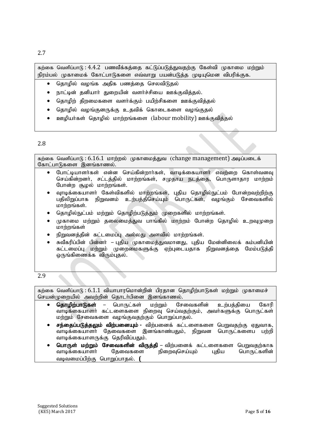2.7

கற்கை வெளிப்பாடு : 4.4.2 பணவீக்கத்தை கட்டுப்படுத்துவதற்கு கேள்வி முகாமை மற்றும் நிரம்பல் முகாமைக் கோட்பாடுகளை எவ்வாறு பயன்படுத்த முடியுமென விபரிக்குக.

- தொழில் வழங்க அதிக பணத்தை செலவிடுதல்
- நாட்டின் தனியார் துறையின் வளர்ச்சியை ஊக்குவித்தல்.
- தொழிற் திறமைகளை வளர்க்கும் பயிற்சிகளை ஊக்குவித்தல்
- தொழில் வழங்குனருக்கு உதவிக் கொடைகளை வழங்குதல்
- ஊழியர்கள் தொழில் மாற்றங்களை (labour mobility) ஊக்குவித்தல்

#### 2.8

கற்கை வெளிப்பாடு: 6.16.1 மாற்றல் முகாமைத்துவ (change management) அடிப்படைக் கோட்பாடுகளை இனங்காணல்.

- போட்டியாளர்கள் என்ன செய்கின்றார்கள், வாடிக்கையாளர் எவற்றை கொள்வனவு செய்கின்றனர், சட்டத்தில் மாற்றங்கள், சமுதாய நடத்தை, பொருளாகார மாற்றம் போன்ற சூழல் மாற்றங்கள்.
- வாடிக்கையாளர் கேள்விகளில் மாற்றங்கள், புதிய தொழில்நுட்பம் போன்றவற்றிற்கு பதிலிறுப்பாக நிறுவனம் உற்பத்திசெய்யும் பொருட்கள், வமங்கும் சேவைகளில் மாற்றங்கள்.
- தொழில்நுட்பம் மற்றும் தொழிற்படுத்தும் முறைகளில் மாற்றங்கள்.
- முகாமை மற்றும் கலைமைக்குவ பாங்கில் மாற்றம் போன்ற கொமில் உறவமுறை  $L$ மாற்றங்கள்
- நிறுவனத்தின் கட்டமைப்பு அல்லது அளவில் மாற்றங்கள்.
- சுவீகரிப்பின் பின்னா் புதிய முகாமைத்துவமானது, புதிய மேன்னிலைக் கம்பனியின் கட்டமைப்பு மற்றும் முறைமைகளுக்கு ஏற்புடையதாக நிறுவனத்தை மேம்படுத்தி லருங்கிணைக்க $\overline{\phantom{a}}$ விரும்புதல்.

# 2.9

கற்கை வெளிப்பாடு:  $6.1.1$  வியாபாரமொன்றின் பிரதான தொழிற்பாடுகள் மற்றும் முகாமைச் செயன்முறையில் அவற்றின் தொடர்பினை இனங்காணல்.

- தொழிற்பாடுகள் பொருட்கள் மற்றும் சேவைகளின் உற்பத்தியை கோரி வாடிக்கையாளா் கட்டளைகளை நிறைவு செய்வதற்கும், அவா்களுக்கு பொருட்கள் மற்றும் சேவைகளை வழங்குவதற்கும் பொறுப்பாதல்.
- சந்தைப்படுத்தலும் விற்பனையும் விற்பனைக் கட்டளைகளை பெறுவதற்கு ஏதுவாக, வாடிக்கையாளர் தேவைகளை இனங்காண்பதும், நிறுவன பொருட்களைப பற்றி வாடிக்கையாளருக்கு தெரிவிப்பதும்.
- <mark>பொருள் மற்றும் சேவைகளின் விருத்தி</mark> விற்பனைக் கட்டளைகளை பெறுவதற்காக<br>வாடிக்கையாளர் தேவைகளை நிறைவுசெய்யும் புதிய பொருட்களின் நிறைவுசெய்யும் வடிவமைப்பிற்கு பொறுப்பாதல். **(**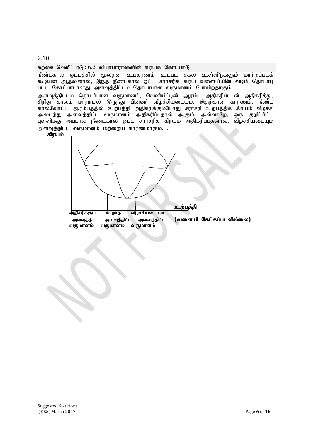2.10

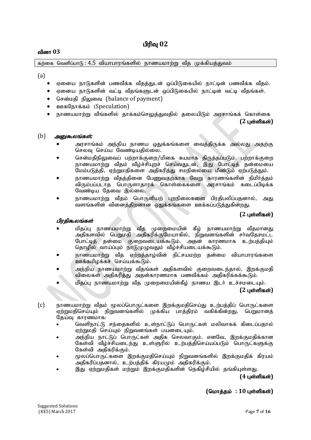பிரிவு  $02$ 

#### வினா 03

கற்கை வெளிப்பாடு $: 4.5$  வியாபாரங்களில் நாணயமாற்று வீத முக்கியத்துவம்

(a)

- ் ஏனைய நாடுகளின் பணவீக்க வீதத்துடன் ஒப்பிடுகையில் நாட்டின் பணவீக்க வீதம்.
- $\bullet$  ஏனைய நாடுகளின் வட்டி வீதங்களுடன் வப்பிடுகையில் நாட்டின் வட்டி வீதங்கள்.
- சென்மதி நிலுவை (balance of payment)
- ஊகநோக்கம் (Speculation)
- $\bullet$  நாணயமாற்று வீங்களில் தாக்கம்செலுக்துவதில் தலையிடும் அரசாங்கக் கொள்கை

 $(2 \text{ L} \cdot \hat{\text{S}})$ 

#### (b) *அனுகூலங்கள்*;

- அரசாங்கம் அந்நிய நாணய ஒதுக்கங்களை வைத்திருக்க அல்லது அதற்கு செலவு செய்ய வேண்டியதில்லை.
- $\bullet$  சென்மதிநிலுவைப் பற்றாக்குறை/மிகை சுயமாக திருத்தப்படும். பற்றாக்குறை நாணயமாற்று வீதம் வீழ்ச்சியுறச் செய்வதுடன், இது போட்டித் தன்மையை மேம்படுத்தி, ஏற்றுமதிகளை அதிகரித்து சமநிலையை மீண்டும் ஏற்படுத்தும்.
- நாணயமாற்று வீதத்தினை பேணுவதற்காக வேறு காரணங்களின் நிமிர்த்தம் விரும்பப்படாத பொருளாதாரக் கொள்கைகளை அரசாங்கம் கடைப்பிடிக்க வேண்டிய தேவை இல்லை.
- நாணயமாற்று வீதம் பொருளியற் புறநிலைகளை பிரதிபலிப்பதனால், அது ்வளங்களின் வினைத்திறனான ஒதுக்கங்களை ஊக்கப்படுத்துகின்றது.

#### **(2 புள்ளிகள்)**

#### பிரகிகூலங்கள்

- மிதப்பு நாணயமாற்று வீத முறைமையின் கீழ் நாணயமாற்று வீதமானது கத்தடி நாண்டிகாந்து தேட் முறைக்கள் கழ் நாண்டிகாந்து தேகானது<br>அதிகளவில் பெறுமதி அதிகரிக்குமேயாகில், நிறுவனங்களின் சர்வதேசமட்ட போட்டித் தன்மை குறைவடையக்கூடும். அதன் காரணமாக உற்பத்தியும் தொழில் வாய்ப்பும் நாடுமுழுவதும் வீழ்ச்சியடையக்கூடும்.
- $\bullet$  நாணயமாற்று வீத ஏற்றத்தாழ்வின் நிட்சயமற்ற தன்மை வியாபாரங்களை ஊக்கமிழக்கச் செய்யக்கூடும்.
- அந்நிய நாணயமாற்று வீதங்கள் அதிகளவில் குறைவடைந்தால், இறக்குமதி விலைகள் அதிகரித்து அதன்காரணமாக பணவீக்கம் அதிகரிக்கக்கூடும்.
- மிதப்பு நாணயமாற்று வீத முறைமையின்கீழ் நாணய இடர் உச்சமடையும். **(2** Gs;spfs ;**)**
- (c) நாணயமாற்று வீதம் மூலப்பொருட்களை இறக்குமதிசெய்து உற்பத்திப் பொருட்களை ்ஏற்றுமதிசெய்யும் நிறுவனங்களில் முக்கிய பாக்கிரம் வகிக்கின்றது. பெறுமானக்  $G$ குய்வு காரணமாக:
	- வெளிநாட்டு சந்தைகளில் உள்நாட்டுப் பொருட்கள் மலிவாகக் கிடைப்பதால் ஏற்றுமதி செய்யும் நிறுவனங்கள் பயனடையும்.
	- அந்நிய நாட்டுப் பொருட்கள் அதிக செலவாகும். எனவே, இறக்குமதிக்கான<br>கேள்வி வீம்ச்சியடைந்து உள்ளுரில் உற்பக்கிசெய்யப்படும் பொருட்களுக்கு ்வீழ்ச்சியடைந்து உள்ளுரில் உற்பத்திசெய்யப்படும் பொருட்களுக்கு கேள்வி அதிகரிக்கும்.
	- மூலப்பொருட்களை இறக்குமதிசெய்யும் நிறுவனங்களில் இறக்குமதிக் கிரயம் அதிகரிப்பதனால், உற்பத்திக் கிரயமும் அதிகரிக்கும்.
	- இது ஏற்றுமதிகள் மற்றும் இறக்குமதிகளின் நெகிழ்சியில் தங்கியுள்ளது.

**(4 புள்ளிகள்)** 

# $($ மொத்தம் : 10 புள்ளிகள்)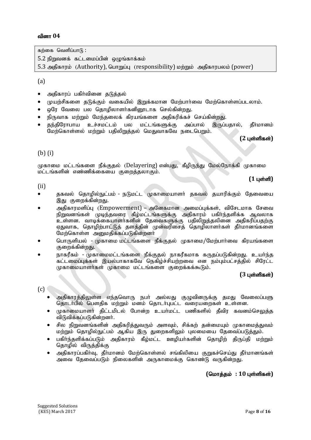கற்கை வெளிப்பா $\mathsf{G}$ :

 $5.2$  நிறுவனக் கட்டமைப்பின் ஒழுங்காக்கம்

5.3 அதிகாரம் (Authority), பொறுப்பு (responsibility) மற்றும் அதிகாரபலம் (power)

(a)

- அதிகாரப் பகிர்வினை தடுத்தல்
- முயற்சிகளை தடுக்கும் வகையில் இறுக்கமான மேற்பார்வை மேற்கொள்ளப்படலாம்.
- ஒரே வேலை பல தொழிலாளர்கனினூடாக செல்கின்றது.
- நிருவாக மற்றும் மேந்தலைக் கிரயங்களை அதிகரிக்கச் செய்கின்றது.
- கந்திரோபாய உச்சமட்டம் பல மட்டங்களுக்கு அப்பால் இருப்பதால், கீர்மானம் .<br>மேற்கொள்ளல் மற்றும் பதிலிறுத்தல் மெதுவாகவே நடைபெறும்.

 $(2 \text{ L} \cdot \hat{\text{S}})$ 

# (b) (i)

முகாமை மட்டங்களை நீக்குதல் (Delayering) என்பது, கீழிருந்து மேல்நோக்கி முகாமை மட்டங்களின் எண்ணிக்கையை குறைத்தலாகும்.

**(1 புள்ளி)** 

#### (ii)

- தகவல் தொழில்நுட்பம் நடுமட்ட முகாமையாளா் தகவல் தயாரிக்கும் தேவையை இது குறைக்கின்றது.
- அதிகாரமளிப்பு (Empowerment) அனேகமான அமைப்புக்கள், விசேடமாக சேவை நிறுவனங்கள் முடிந்தவரை கீழ்மட்டங்களுக்கு அதிகாரம் பகிர்ந்தளிக்க ஆவலாக ் உள்ளன. வாடிக்கையாளா்களின் தேவைகளுக்கு பதிலிறுத்தலினை அதிகரிப்பதற்கு எதுவாக, தொழிற்பாட்டுத் தளத்தின் முன்வரிசைத் தொழிலாளர்கள் தீர்மானங்களை மேற்கொள்ள அனுமதிக்கப்படுகின்றனர்
- பொருளியல் முகாமை மட்டங்களை நீக்குதல் முகாமை/மேற்பார்வை கிரயங்களை குறைக்கின்றது.
- நாகரீகம் முகாமைமட்டங்களை நீக்குகல் நாகரீகமாக கருகப்படுகின்றது. உயர்ந்த கட்டமைப்புக்கள் இயல்பாகாகவே நெகிழ்ச்சியற்றவை என நம்பும்பட்சத்தில் சிரேட்ட  $\mu$ காமையாளர்கள் முகாமை மட்டங்களை குறைக்கக்கூடும்.

# **(3 பள்ளிகள்)**

#### $(c)$

- அதிகாரத்திலுள்ள எந்தவொரு நபர் அல்லது குழுவினருக்கு தமது வேலைப்பளு தொடர்பில் பௌதிக மற்றும் மனம் தொடர்புபட்ட வரையறைகள் உள்ளன.
- முகாமையாளா் திட்டமிடல் போன்ற உயா்மட்ட பணிகளில் தீவிர கவனம்செலுத்த விடுவிக்கப்படுகின்றனர்.
- சில நிறுவனங்களின் அதிகரித்துவரும் அளவும், சிக்கற் தன்மையும் முகாமைத்துவம் மற்றும் தொழில்நுட்பம் ஆகிய இரு துறைகளிலும் புலமையை தேவைப்படுத்தும்.
- பகிர்ந்தளிக்கப்படும் அதிகாரம் கீழ்மட்ட ஊழியர்களின் தொழிற் திருப்தி மற்றும் தொழில் விருத்திக்கு
- அதிகாரப்பகிர்வு, தீர்மானம் மேற்கொள்ளல் சங்கிலியை குறுகச்செய்து தீர்மானங்கள் அவை தேவைப்படும் நிலைகளின் அருகாமைக்கு கொண்டு வருகின்றது.

 $($ மொத்தம் : 10 புள்ளிகள்)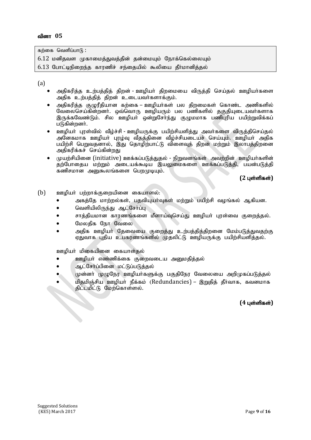கற்கை வெளிப்பா $f$  :

- $6.12$  மனிதவள முகாமைத்துவத்தின் தன்மையும் நோக்கெல்லையும்
- $6.13$  போட்டிநிறைந்த காரணிச் சந்தையில் கூலியை கீர்மானிக்கல்

(a)

- அதிகரித்த உற்பத்தித் திறன் ஊழியா் திறமையை விருத்தி செய்தல் ஊழியா்களை அதிக உற்பத்தித் திறன் உடையவர்களாக்கும்.
- அதிகரித்த குழுரீதியான கற்கை ஊழியா்கள் பல திறமைகள் கொண்ட அணிகளில் ு, நாரைத்து குழுத்தாகம், பாதிப்பட்டது.<br>வேலைசெய்கின்றனர். ஒவ்வொரு ஊழியரும் பல பணிகளில் தகுதியுடையவர்களாக இருக்கவேண்டும். சில ஊழியா ஒன்றுசோந்து குழுமமாக பணிபுரிய பயிற்றுவிக்கப் படுகின்றனர்.
- ஊழியா் புரள்வில் வீழ்ச்சி ஊழியருக்கு பயிற்சியளித்து அவா்களை விருத்திசெய்தல் அனேகமாக ஊழியா் புரழ்வு வீதத்தினை வீழ்ச்சியடையச் செய்யும். ஊழியா் அதிக பயிற்சி பெறுவதனால், இது தொழிற்பாட்டு விளைவுத் திறன் மற்றும் இலாபத்திறனை அதிகரிக்கச் செய்கின்றது
- $\mu$ பம்சியினை (initiative) ஊக்கப்படுக்குகல் நிறுவனங்கள் அவற்றின் ஊழியர்களின் தற்போதைய மற்றும் அடையக்கூடிய இயலுமைகளை ஊக்கப்படுத்தி, பயன்படுத்தி கணிசமான அனுகூலங்களை பெறமுடியும்.

 $(2 \text{ L} \cdot \hat{\text{S}})$ 

- $(b)$  உளழியர் பற்றாக்குறையினை கையாளல்:
	- அகத்தே மாற்றல்கள், பதவியுயா்வுகள் மற்றும் பயிற்சி வழங்கல் ஆகியன.
	- வெளியிலிருந்து ஆட்சோ்ப்பு
	- சாக்கியமான காாணங்களை மீளாய்வசெய்கு ஊமியர் பாள்வை குறைக்கல்.
	- மேலதிக நோ வேலை
	- அதிக ஊழியா தேவையை குறைத்து உற்பத்தித்திறனை மேம்படுத்துவதற்கு ஏதுவாக புதிய உபகரணங்களில் முதலிட்டு ஊழியருக்கு பயிற்சியளித்தல்.

ஊழியா் மிகையினை கையாள்தல்

- ஊழியா் எண்ணிக்கை குறைவடைய அனுமதித்தல்
- ஆட்சோ்ப்பினை மட்டுப்படுத்தல்
- முன்னா் முழுநேர ஊழியா்களுக்கு பகுதிநேர வேலையை அறிமுகப்படுத்தல்
- மிதமிஞ்சிய ஊழியா் நீக்கம் (Redundancies) இறுதித் தீர்வாக, கவனமாக திட்டமிட்டு மேற்கொள்ளல்.<br>|-<br>|-

**(4 புள்ளிகள்)**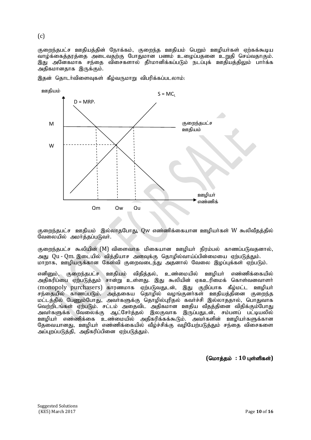குறைந்தபட்ச ஊதியத்தின் நோக்கம், குறைந்த ஊதியம் பெறும் ஊழியர்கள் ஏற்கக்கூடிய வாழ்க்கைத்தரத்தை அடைவதற்கு போதுமான பணம் உழைப்பதனை உறுதி செய்வதாகும். இது அனேகமாக சந்தை விசைகளால் கீா்மானிக்கப்படும் நடப்புக் ஊதியத்திலும் பாா்க்க அதிகமானதாக இருக்கும்.



இதன் தொடர்விளைவுகள் கீழ்வருமாறு விபரிக்கப்படலாம்:

குறைந்தபட்ச ஊதியம் இல்லாதபோது, Qw எண்ணிக்கையான ஊழியர்கள் W கூலிவீதத்தில்  $\mathfrak G$ வலையில் அமர்த்தப்படுவர்.

குறைந்தபட்ச கூலியின் (M) விளைவாக மிகையான ஊமியர் நிரம்பல் காணப்படுவதனால். அது Qu - Qm. இடையில் வித்தியாச அளவுக்கு தொழில்வாய்ப்பின்மையை ஏற்படுத்தும். மாறாக, ஊழியருக்கான கேள்வி குறைவடைந்து அதனால் வேலை இழப்புக்கள் ஏற்படும்.

எனினும், குறைந்தபட்ச ஊதியம் விதித்தல், உண்மையில் ஊழியா் எண்ணிக்கையில் அதிகரிப்பை ஏற்படுத்தும் சான்று உள்ளது. இது கூலியின் ஏகஉரிமைக் கொள்வனவாளா் (monopoly purchasers) காரணமாக ஏற்படுவதுடன், இது குறிப்பாக கீழ்மட்ட ஊழியர் சந்தையில் காணப்படும். அத்தகைய தொழில் வழங்குனா்கள் ஊதியத்தினை குறைந்த மட்டத்தில் பேணும்போது, அவா்களுக்கு தொழில்புரிதல் கவா்ச்சி இல்லாததால், பொதுவாக வெற்றிடங்கள் ஏற்படும். சட்டம் அதைவிட அதிகமான ஊதிய வீதத்தினை விதிக்கும்போது அவா்களுக்க வேலைக்கு ஆட்சோ்த்தல் இலகுவாக இருப்பதுடன், சம்பளப் பட்டியலில் ஊழியா் எண்ணிக்கை உண்மையில் அதிகரிக்கக்கூடும். அவா்களின் ஊழியா்களுக்கான தேவையானது, ஊழியர் எண்ணிக்கையில் வீழ்ச்சிக்கு வழியேற்படுத்தும் சந்தை விசைகளை அப்புறப்படுத்தி, அதிகரிப்பினை ஏற்படுத்தும்.

 $($ மொக்கம் : 10 பள்ளிகள்)

#### (c)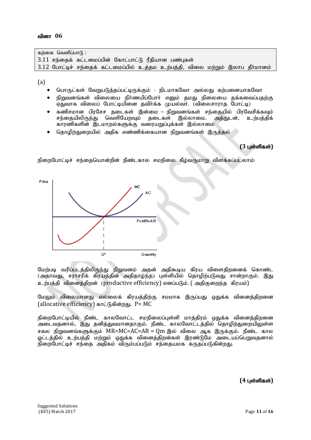கற்கை வெளிப்பா $f$  :  $3.11$  சந்தைக் கட்டமைப்பின் கோட்பாட்டு ரீதியான பண்புகள்  $3.12$  போட்டிச் சந்தைக் கட்டமைப்பில் உத்தம உற்பத்தி, விலை மற்றும் இலாப தீா்மானம்

(a)

- பொருட்கள் வேறுபடுத்தப்பட்டிருக்கும் நிடமாகவோ அல்லது கற்பனையாகவோ
- $\bullet$  நிறுவனங்கள் விலையை நிர்ணயிப்போர் எனும் தமது நிலையை தக்கவைப்பதற்கு  $\overline{\mathbf{v}}$ ஏதுவாக விலைப் போட்டியினை தவிர்க்க முயல்வர். (விலைசாராத போட்டி)
- கணிசமான பிரசேச தடைகள் இன்மை நிறுவனங்கள் சந்தையில் பிரவேசிக்கவும்<br>சந்தையிலிருந்து வெளியேறவும் தடைகள் இல்லாமை. அக்துடன், உற்பத்திக் அக்குடன், உற்பக்கிக் காரணிகளின் இடமாறல்களுக்கு வரையறுப்புக்கள் இல்லாமை
- தொழிற்துறையில் அதிக எண்ணிக்கையான நிறுவனங்கள் இருத்தல்

# **(3 பள்ளிகள்)**

நிறைபோட்டிச் சந்தையொன்றின் நீண்டகால சமநிலை கீழ்வருமாறு விளக்கப்படலாம்:



மேற்படி வரிப்படத்திலிருந்து நிறுவனம் அதன் அதிகூடிய கிரய விளைதிறனைக் கொண்ட (அதாவது, சராசரிக் கிரயத்தின் அதிதாழ்ந்த) புள்ளியில் தொழிற்படுவது சான்றாகும். இது உற்பத்தி வினைக்கிறன் (productive efficiency) எனப்படும். ( அகிகுறைந்த கிரயம்)

மேலும் விலையானது எல்லைக் கிரயத்திற்கு சமமாக இருப்பது ஒதுக்க வினைத்திறனை (allocative efficiency)  $\sin \angle$ நகின்றது. P= MC

நிறைபோட்டியில் நீண்ட காலவோட்ட சமநிலைப்புள்ளி மாத்திரம் ஒதுக்க வினைத்திறனை அடைவதனால், இது தனித்துவமானதாகும். நீண்ட காலவோட்டத்தில் தொழிற்துறையிலுள்ள சகல நிறுவனங்களுக்கும்  $MR=MC=AC=AR = \text{Om}$  இல் விலை ஆக இருக்கும். நீண்ட கால ஓட்டத்தில் உற்பத்தி மற்றும் ஒதுக்க வினைத்திறன்கள் இரண்டுமே அடையப்பெறுவகனால்  $\hat{B}$ றைபோட்டிச் சந்தை அதிகம் விரும்பப்படும் சந்தையமக கருதப்படுகின்றது.

**(4 பள்ளிகள்)**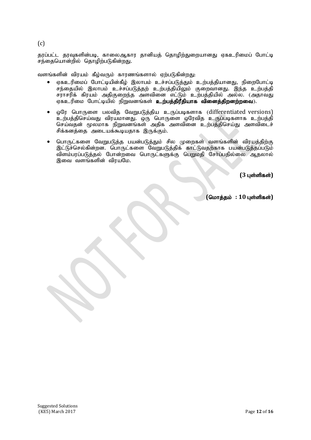$(c)$ 

தரப்பட்ட தரவுகளின்படி, காலைஆகார தானியத் தொழிற்துறையானது ஏகஉரிமைப் போட்டி .<br>சந்தையொன்றில் தொழிற்படுகின்றது.

வளங்களின் விரயம் கீழ்வரும் காரணங்களால் ஏற்படுகின்றது:

- ஏகஉரிமைப் போட்டியின்கீழ் இலாபம் உச்சப்படுத்தும் உற்பத்தியானது, நிறைபோட்டி .<br>சந்தையில் இலாபம் உச்சப்படுத்தற் உற்பத்தியிலும் குறைவானது. இந்த உற்பத்தி  $\overline{\tau}$ ராசரிக் கிரயம் அதிகுறைந்த அளவினை எட்டும் உற்பத்தியில் அல்ல. (அதாவது .<br>ஏகஉரிமை போட்டியில் நிறுவனங்கள் **உற்பத்திரீதியாக வினைத்திறனற்றவை**).
- $\bullet$  ஒரே பொருளை பலவித வேறுபடுத்திய உருப்படிகளாக (differentiated versions) உற்பத்திசெய்வது விரயமானது. ஒரு பொருளை ஒரேவித உருப்படிகளாக உற்பத்தி செய்வதன் மூலமாக நிறுவனங்கள் அதிக அளவினை உற்பத்திசெய்து அளவிடைச் சிக்கனத்தை அடையக்கூடியதாக இருக்கும்.
- பொருட்களை வேறுபடுத்த பயன்படுத்தும் சில முறைகள் வளங்களின் விரயத்திற்கு இட்டுச்செல்கின்றன. பொருட்களை வேறுபடுத்திக் காட்டுவதற்காக பயன்படுத்தப்படும் விளம்பரப்படுத்தல் போன்றவை பொருட்களுக்கு பெறுமதி சேர்ப்பதில்லை ஆதலால் இவை வளங்களின் விரயமே.

**(3 புள்ளிகள்)** 

 $($ மொத்தம் : 10 புள்ளிகள்)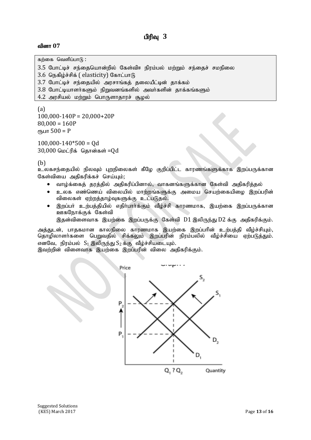கற்கை வெளிப்பா $\mathsf{G}$ :

```
3.5 போட்டிச் சந்தையொன்றில் கேள்விஈ நிரம்பல் மற்றும் சந்தைச் சமநிலை
```

```
3.6 நெகிழ்ச்சிக் ( elasticity) கோட்பாடு
```
3.7 போட்டிச் சந்தையில் அரசாங்கத் தலையீட்டின் தாக்கம்

- $3.8$  போட்டியாளர்களும் நிறுவனங்களில் அவர்களின் தாக்கங்களும்
- $4.2$  அரசியல் மற்றும் பொருளாதாரச் சூழல்

(a)  $100,000-140P = 20,000+20P$  $80,000 = 160P$  $e$ гђшт 500 = Р

 $100,000-140*500 = 0d$  $30,000$  மெட்ரிக் தொன்கள் = $Qd$ 

(b)

.<br>உலகசந்தையில் நிலவும் புறநிலைகள் கீழே குறிப்பிட்ட காரணங்களுக்காக இறப்பருக்கான கேள்வியை அதிகரிக்கச் செய்யும்;

- வாழ்க்கைத் தரத்தில் அதிகரிப்பினால், வாகனங்களுக்கான கேள்வி அதிகரித்தல்
- $\bullet$  உலக எண்ணெய் விலையில் மாற்றங்களுக்கு அமைய செயற்கையிமை இறப்பரின் விலைகள் ஏற்றத்தாழ்வுகளுக்கு உட்படுதல்.
- $\bullet$  இறப்பா் உற்பத்தியில் எதிா்பாா்க்கும் வீழ்ச்சி காரணமாக, இயற்கை இறப்பருக்கான ஊகநோக்குக் கேள்வி

இதன்விளைவாக இயற்கை இறப்பருக்கு கேள்வி D1 இலிருந்து D2 க்கு அதிகரிக்கும்.

அத்துடன், பாதகமான காலநிலை காரணமாக இயற்கை இறப்பரின் உற்பத்தி வீழ்ச்சியும், தொழிலாளர்களை பெறுவதில் சிக்கலும் இறப்பரின் நிரம்பலில் வீழ்ச்சியை ஏற்படுத்தும். எனவே, நிரம்பல்  $S_1$  இலிருந்து $S_2$ க்கு வீழ்ச்சியடையும்.

இவற்றின் விளைவாக இயற்கை இறப்பரின் விலை அதிகரிக்கும்.

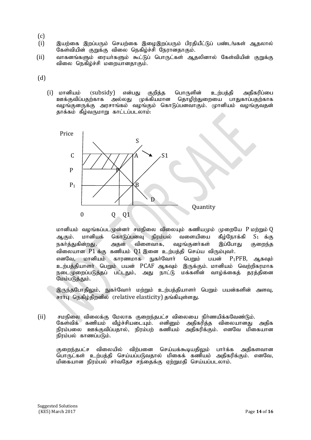- (c)
- $(i)$  , இயற்கை இறப்பரும் செயற்கை இமைஇறப்பரும் பிரதியீட்டுப் பண்டங்கள் ஆதலால் கேள்வியின் குறுக்கு விலை நெகிழ்ச்சி நேரானதாகும்.
- (ii) வாகனங்களும் ரையா்களும் கூட்டுப் பொருட்கள் ஆதலினால் கேள்வியின் குறுக்கு விலை நெகிழ்ச்சி மறையானதாகும்.
- $(d)$ 
	- (i) மானியம் (subsidy) என்பது குறித்த பொருளின் உற்பத்தி அதிகரிப்பை ஊக்குவிப்பதற்காக அல்லது முக்கியமான தொழிற்துறையை பாதுகாப்பதற்காக வழங்குனருக்கு அரசாங்கம் வழங்கும் கொடுப்பனவாகும். முானியம் வழங்குவதன் தாக்கம் கீழ்வருமாறு காட்டப்படலாம்:



மானியம் வழங்கப்படமுன்னர் சமநிலை விலையும் கணியமும் முறையே  $P$  மற்றும் $Q$ ஆகும். மானியக் கொடுப்பனவு நிரம்பல் வளையியை கீழ்நோக்கி  $S_1$  க்கு நகர்த்துகின்றது . அதன் விளைவாக, வழங்குனர்கள் இப்போது குறைந்த விலையான  $P1$ க்கு கணியம்  $Q1$  இனை உற்பத்தி செய்ய விரும்புவர். எனவே, மானியம் காரணமாக நுகா்வோா் பெறும் பயன்  $P_1$ PFB, ஆகவும் உற்பத்தியாளர் பெறும் பயன் PCAF ஆகவும் இருக்கும். மானியம் வெற்றிகரமாக நடைமுறைப்படுத்தப் பட்டதும், அது நாட்டு மக்களின் வாழ்க்கைத் தரத்தினை மேம்படுத்தும்.

இருந்தபோதிலும், நுகா்வோா் மற்றும் உற்பத்தியாளா் பெறும் பயன்களின் அளவு, சார்பு நெகிம்கிறனில் (relative elasticity) தங்கியள்ளது.

(ii) rkepiy tpiyf;F Nkyhf Fiwe;jgl;r tpiyia eph;zapf;fNtz;Lk;. வீழ்ச்சியடையும். எனினும் அதிகரித்த விலையானது அதிக நிரம்பலை ஊக்குவிப்பகால், நிரம்பற் கணியம் அதிகரிக்கும். எனவே மிகையான .<br>நிாம்பல் காணப்படும்.

குறைந்தபட்ச விலையில் விற்பனை செய்யக்கூடியதிலும் பார்க்க அதிகளவான பொருட்கள் உற்பத்தி செய்யப்படுவதால் மிகைக் கணியம் அதிகரிக்கும். எனவே, மிகையான நிரம்பல் சாவதேச சந்தைக்கு ஏற்றுமதி செய்யப்படலாம்.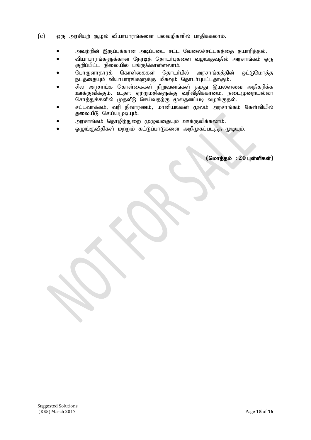- $\epsilon$ ) ஒரு அரசியற் சூழல் வியாபாரங்களை பலவழிகளில் பாதிக்கலாம்.
	- அவற்றின் இருப்புக்கான அடிப்படை சட்ட வேலைச்சட்டகத்தை தயாரித்தல்.
	- வியாபாரங்களுக்கான நேரடித் தொடர்புகளை வழங்குவதில் அரசாங்கம் ஒரு குறிப்பிட்ட நிலையில் பங்குகொள்ளலாம்.
	- பொருளாதாரக் கொள்கைகள் தொடர்பில் அரசாங்கக்கின் ஒட்டுமொக்க நடத்தையும் வியாபாரங்களுக்கு மிகவும் தொடர்புபட்டதாகும்.
	- சில அரசாங்க கொள்கைகள் நிறுவனங்கள் தமது இயலளவை அதிகரிக்க ஊக்குவிக்கும். உதா: ஏற்றுமதிகளுக்கு வரிவிதிக்காமை. நடைமுறையல்லா <u>காககுதாககுக் - முதல் தான் குதிர் மு</u>லத்தியிடி வழங்குதல்.<br>சொத்துக்களில் முதலீடு செய்வதற்கு முலதனப்படி வழங்குதல்.
	- சட்டவாக்கம், வரி நிவாரணம், மானியங்கள் மூலம் அரசாங்கம் கேள்வியில் தலையீடு செய்யமுடியும்.
	- அரசாங்கம் தொழிற்துறை முழுவதையும் ஊக்குவிக்கலாம்.
	- ஒழுங்குவிதிகள் மற்றும் கட்டுப்பாடுகளை அறிமுகப்படத்த முடியும்.

 $($ மொத்தம் : 20 புள்ளிகள்)